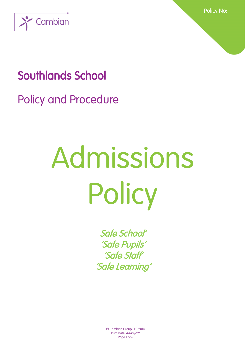

Policy No:

## Southlands School

Policy and Procedure

# Admissions Policy

Safe School' 'Safe Pupils' 'Safe Staff' 'Safe Learning'

> ® Cambian Group PLC 2014 Print Date: 4-May-22 Page 1 of 6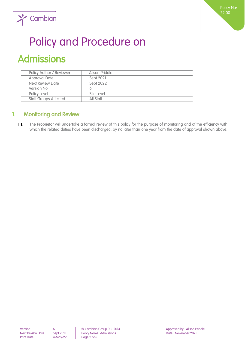

## $\sum$  Cambian

## Policy and Procedure on

## Admissions

| Policy Author / Reviewer     | Alison Priddle |
|------------------------------|----------------|
| <b>Approval Date</b>         | Sept 2021      |
| Next Review Date             | Sept 2022      |
| Version No                   |                |
| Policy Level                 | Site Level     |
| <b>Staff Groups Affected</b> | All Staff      |

### 1. Monitoring and Review

 $1.1.$ The Proprietor will undertake a formal review of this policy for the purpose of monitoring and of the efficiency with which the related duties have been discharged, by no later than one year from the date of approval shown above,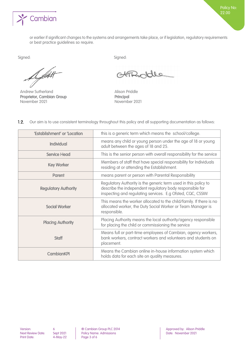

or earlier if significant changes to the systems and arrangements take place, or if legislation, regulatory requirements or best practice guidelines so require.

Du fittelt

Andrew Sutherland Alison Priddle Proprietor, Cambian Group Principal November 2021 November 2021

Signed: Signed:

FROde

Policy No: 22.00

 $1.2.$ Our aim is to use consistent terminology throughout this policy and all supporting documentation as follows:

| 'Establishment' or 'Location | this is a generic term which means the school/college.                                                                                                                                    |
|------------------------------|-------------------------------------------------------------------------------------------------------------------------------------------------------------------------------------------|
| <b>Individual</b>            | means any child or young person under the age of 18 or young<br>adult between the ages of 18 and 25.                                                                                      |
| <b>Service Head</b>          | This is the senior person with overall responsibility for the service                                                                                                                     |
| <b>Key Worker</b>            | Members of staff that have special responsibility for Individuals<br>residing at or attending the Establishment.                                                                          |
| <b>Parent</b>                | means parent or person with Parental Responsibility                                                                                                                                       |
| <b>Regulatory Authority</b>  | Regulatory Authority is the generic term used in this policy to<br>describe the independent regulatory body responsible for<br>inspecting and regulating services. E.g Ofsted, CQC, CSSIW |
| <b>Social Worker</b>         | This means the worker allocated to the child/family. If there is no<br>allocated worker, the Duty Social Worker or Team Manager is<br>responsible.                                        |
| <b>Placing Authority</b>     | Placing Authority means the local authority/agency responsible<br>for placing the child or commissioning the service                                                                      |
| <b>Staff</b>                 | Means full or part-time employees of Cambian, agency workers,<br>bank workers, contract workers and volunteers and students on<br>placement.                                              |
| <b>CambianKPI</b>            | Means the Cambian online in-house information system which<br>holds data for each site on quality measures.                                                                               |

Next Review Date: Sept 2021 Policy Name: Admissions<br>
Print Date: 4-May-22 Page 3 of 6 Page 3 of 6

Version: 6 ® Cambian Group PLC 2014 Approved by: Alison Priddle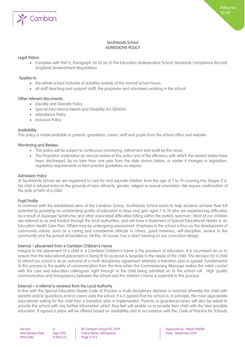

#### Southlands School ADMISSIONS POLICY

#### Legal Status:

• Complies with Part 6, Paragraph 24 (3) (a) of The Education (Independent School Standards Compliance Record) (England) (Amendment) Regulations

#### Applies to:

- the whole school inclusive of activities outside of the normal school hours;
- all staff (teaching and support staff), the proprietor and volunteers working in the school.

#### Other relevant documents:

- Equality and Diversity Policy
- Special Educational Needs and Disability Act (SENDA)
- Attendance Policy
- Inclusion Policy

#### Availability:

This policy is made available to parents, guardians, carers, staff and pupils from the school office and website

#### Monitoring and Review:

- This policy will be subject to continuous monitoring, refinement and audit by the Head.
- The Proprietor undertakes an annual review of this policy and of the efficiency with which the related duties have been discharged, by no later than one year from the date shown below, or earlier if changes in legislation, regulatory requirements or best practice guidelines so require.

#### Admission Policy

At Southlands School we are registered to care for and educate children from the age of 7 to 19 covering Key Stages 2-6. No child is refused entry on the grounds of race, ethnicity, gender, religion or sexual orientation. We require confirmation of the date of birth of a child.

#### Pupil Profile

In common with the established aims of the Cambian Group, Southlands School exists to help students achieve their full potential by providing an outstanding quality of education to boys and girls aged 7 to 19 who are experiencing difficulties as a result of Asperger Syndrome, and other associated difficulties falling within the autistic spectrum. Most of our children are referred to us and funded through the local authorities, and will have a Statement of Special Educational Needs or an Education Health Care Plan. Others may be undergoing assessment. Emphasis in the school is thus on the development of community values, such as a caring and considerate attitude to others, good manners, self-discipline, service to the community and the pursuit of excellence. All this, of course, has a direct bearing on our curriculum design.

#### Internal – placement from a Cambian Children's Home

Integral to the placement of a child in a Cambian Children's home is the provision of education. It is incumbent on us to ensure that the educational placement in being fit for purpose is bespoke to the needs of the child. The decision for a child to attend our school is as an outcome of a multi-disciplinary agreement whereby a transition plan is agreed. Fundamental to this process is the quality of communication from the time when the Commissioning Manager makes the initial contact with the care and education colleagues' right through to the child being admitted on to the school roll. High quality communication and transparency between the school and the children's home is essential to this process.

#### External – a referral is received from the Local Authority

In line with the Special Education Needs Code of Practice a multi-disciplinary decision is reached whereby the child with parents and/or guardians and/or carers visits the school. If is it agreed that the school is, in principle, the most appropriate educational setting for the child then a transition plan is implemented. Parents or guardians/carers will also be asked to provide the school with any further information which they feel will enable us to provide their child with the best possible education. If agreed a place will be offered based on availability and in accordance with the *Code of Practice for Schools*,

| Version:           |  |
|--------------------|--|
| Next Review Date:  |  |
| <b>Print Date:</b> |  |

Policy Name: Admissions **Policy Name: Admissions** Date: November 2021  $4-May-22$  Page 4 of 6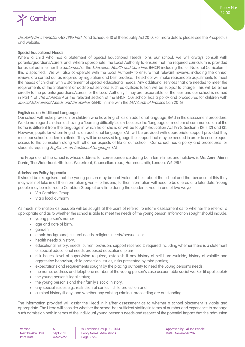

#### Special Educational Needs

Where a child who has a Statement of Special Educational Needs joins our school, we will always consult with parents/guardians/carers and, where appropriate, the Local Authority to ensure that the required curriculum is provided for as set out in either the *Statement* or the Education, Health and Care Plan (EHCP) including the full National Curriculum if this is specified. We will also co-operate with the Local Authority to ensure that relevant reviews, including the annual review, are carried out as required by regulation and best practice. The school will make reasonable adjustments to meet the needs of children with a statement of special educational needs. Any additional services that are needed to meet the requirements of the Statement or additional services such as dyslexic tuition will be subject to charge. This will be either directly to the parents/guardians/carers, or the Local Authority if they are responsible for the fees and our school is named in Part 4 of *The Statement* or the relevant section of the EHCP. Our school has a policy and procedures for children with Special Educational Needs and Disabilities (SEND) in line with the SEN Code of Practice (Jan 2015)

#### English as an Additional Language

Our school will make provision for children who have English as an additional language, (EAL) in the assessment procedure. We do not regard children as having a 'learning difficulty' solely because the 'language or medium of communication of the home is different from the language in which he or she is or will be taught' (Education Act 1996, Section 312(1), (2) and (3). However, pupils for whom English is an additional language (EAL) will be provided with appropriate support provided they meet our school academic criteria. They will be assessed to gauge the support that may be needed in order to ensure equal access to the curriculum along with all other aspects of life at our school. Our school has a policy and procedures for students requiring *English as an Additional Language* (EAL).

The Proprietor of the school is whose address for correspondence during both term-times and holidays is Mrs Anne Marie Carrie, The Waterfront, 4th floor, Waterfront, Chancellors road, Hammersmith, London, W6 9RU.

#### Admissions Policy Appendix

It should be recognised that the young person may be ambivalent at best about the school and that because of this they may well not take in all the information given – to this end, further information will need to be offered at a later date. Young people may be referred to Cambian Group at any time during the academic year in one of two ways:-

- Via Cambian Group
- Via a local authority

As much information as possible will be sought at the point of referral to inform assessment as to whether the referral is appropriate and as to whether the school is able to meet the needs of the young person. Information sought should include:

- young person's name;
- age and date of birth;
- gender;
- ethnic background, cultural needs, religious needs/persuasion;
- health needs & history;
- educational history, needs, current provision, support received & required including whether there is a statement of special educational needs proposed educational plan;
- risk issues, level of supervision required, establish if any history of self-harm/suicide, history of volatile and aggressive behaviour, child protection issues, risks presented by third parties;
- expectations and requirements sought by the placing authority to need the young person's needs;
- the name, address and telephone number of the young person's case accountable social worker (if applicable);
- the young person's legal status;
- the young person's and their family's social history;
- any special issues e.g., restriction of contact, child protection and
- criminal history (if any) and whether any existing criminal proceeding are outstanding.

The information provided will assist the Head in his/her assessment as to whether a school placement is viable and appropriate. The Head will consider whether the school has sufficient staffing in terms of number and experience to manage such admission both in terms of the individual young person's needs and respect of the potential impact that the admission

| Version:           |  |
|--------------------|--|
| Next Review Date:  |  |
| <b>Print Date:</b> |  |

 $4-May-22$  Page 5 of 6

Policy Name: Admissions **Policy Name: Admissions** Date: November 2021

Policy No: 22.00